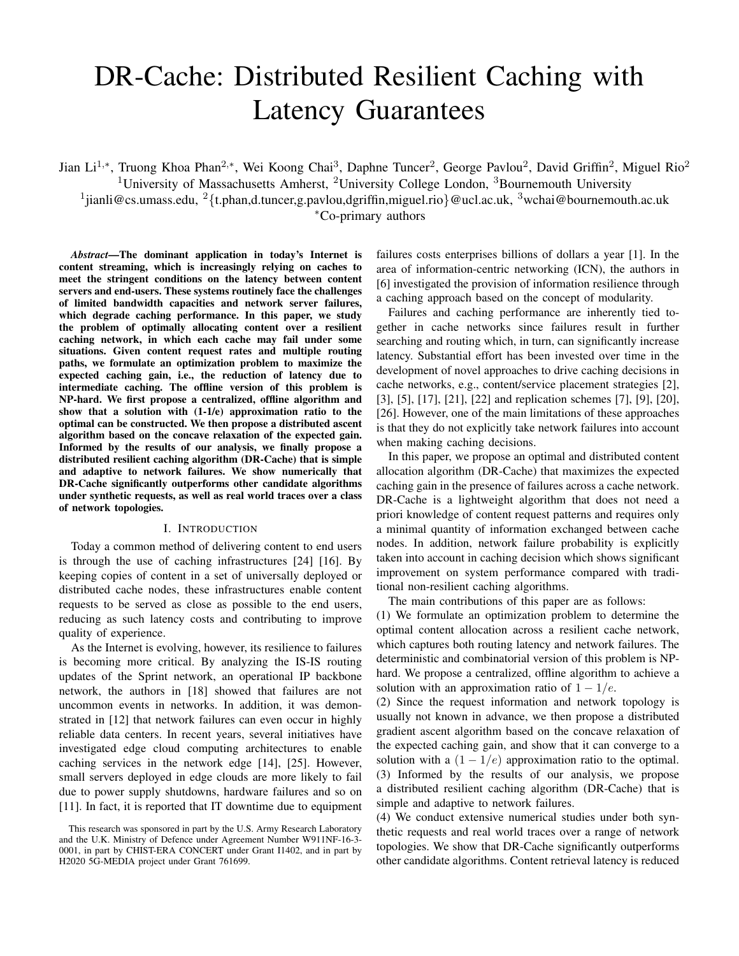# DR-Cache: Distributed Resilient Caching with Latency Guarantees

Jian Li<sup>1,∗</sup>, Truong Khoa Phan<sup>2,∗</sup>, Wei Koong Chai<sup>3</sup>, Daphne Tuncer<sup>2</sup>, George Pavlou<sup>2</sup>, David Griffin<sup>2</sup>, Miguel Rio<sup>2</sup> <sup>1</sup>University of Massachusetts Amherst, <sup>2</sup>University College London, <sup>3</sup>Bournemouth University <sup>1</sup>jianli@cs.umass.edu, <sup>2</sup>{t.phan,d.tuncer,g.pavlou,dgriffin,miguel.rio}@ucl.ac.uk, <sup>3</sup>wchai@bournemouth.ac.uk <sup>∗</sup>Co-primary authors

*Abstract*—The dominant application in today's Internet is content streaming, which is increasingly relying on caches to meet the stringent conditions on the latency between content servers and end-users. These systems routinely face the challenges of limited bandwidth capacities and network server failures, which degrade caching performance. In this paper, we study the problem of optimally allocating content over a resilient caching network, in which each cache may fail under some situations. Given content request rates and multiple routing paths, we formulate an optimization problem to maximize the expected caching gain, i.e., the reduction of latency due to intermediate caching. The offline version of this problem is NP-hard. We first propose a centralized, offline algorithm and show that a solution with (1-1/e) approximation ratio to the optimal can be constructed. We then propose a distributed ascent algorithm based on the concave relaxation of the expected gain. Informed by the results of our analysis, we finally propose a distributed resilient caching algorithm (DR-Cache) that is simple and adaptive to network failures. We show numerically that DR-Cache significantly outperforms other candidate algorithms under synthetic requests, as well as real world traces over a class of network topologies.

#### I. INTRODUCTION

Today a common method of delivering content to end users is through the use of caching infrastructures [24] [16]. By keeping copies of content in a set of universally deployed or distributed cache nodes, these infrastructures enable content requests to be served as close as possible to the end users, reducing as such latency costs and contributing to improve quality of experience.

As the Internet is evolving, however, its resilience to failures is becoming more critical. By analyzing the IS-IS routing updates of the Sprint network, an operational IP backbone network, the authors in [18] showed that failures are not uncommon events in networks. In addition, it was demonstrated in [12] that network failures can even occur in highly reliable data centers. In recent years, several initiatives have investigated edge cloud computing architectures to enable caching services in the network edge [14], [25]. However, small servers deployed in edge clouds are more likely to fail due to power supply shutdowns, hardware failures and so on [11]. In fact, it is reported that IT downtime due to equipment failures costs enterprises billions of dollars a year [1]. In the area of information-centric networking (ICN), the authors in [6] investigated the provision of information resilience through a caching approach based on the concept of modularity.

Failures and caching performance are inherently tied together in cache networks since failures result in further searching and routing which, in turn, can significantly increase latency. Substantial effort has been invested over time in the development of novel approaches to drive caching decisions in cache networks, e.g., content/service placement strategies [2], [3], [5], [17], [21], [22] and replication schemes [7], [9], [20], [26]. However, one of the main limitations of these approaches is that they do not explicitly take network failures into account when making caching decisions.

In this paper, we propose an optimal and distributed content allocation algorithm (DR-Cache) that maximizes the expected caching gain in the presence of failures across a cache network. DR-Cache is a lightweight algorithm that does not need a priori knowledge of content request patterns and requires only a minimal quantity of information exchanged between cache nodes. In addition, network failure probability is explicitly taken into account in caching decision which shows significant improvement on system performance compared with traditional non-resilient caching algorithms.

The main contributions of this paper are as follows:

(1) We formulate an optimization problem to determine the optimal content allocation across a resilient cache network, which captures both routing latency and network failures. The deterministic and combinatorial version of this problem is NPhard. We propose a centralized, offline algorithm to achieve a solution with an approximation ratio of  $1 - 1/e$ .

(2) Since the request information and network topology is usually not known in advance, we then propose a distributed gradient ascent algorithm based on the concave relaxation of the expected caching gain, and show that it can converge to a solution with a  $(1 - 1/e)$  approximation ratio to the optimal. (3) Informed by the results of our analysis, we propose a distributed resilient caching algorithm (DR-Cache) that is simple and adaptive to network failures.

(4) We conduct extensive numerical studies under both synthetic requests and real world traces over a range of network topologies. We show that DR-Cache significantly outperforms other candidate algorithms. Content retrieval latency is reduced

This research was sponsored in part by the U.S. Army Research Laboratory and the U.K. Ministry of Defence under Agreement Number W911NF-16-3- 0001, in part by CHIST-ERA CONCERT under Grant I1402, and in part by H2020 5G-MEDIA project under Grant 761699.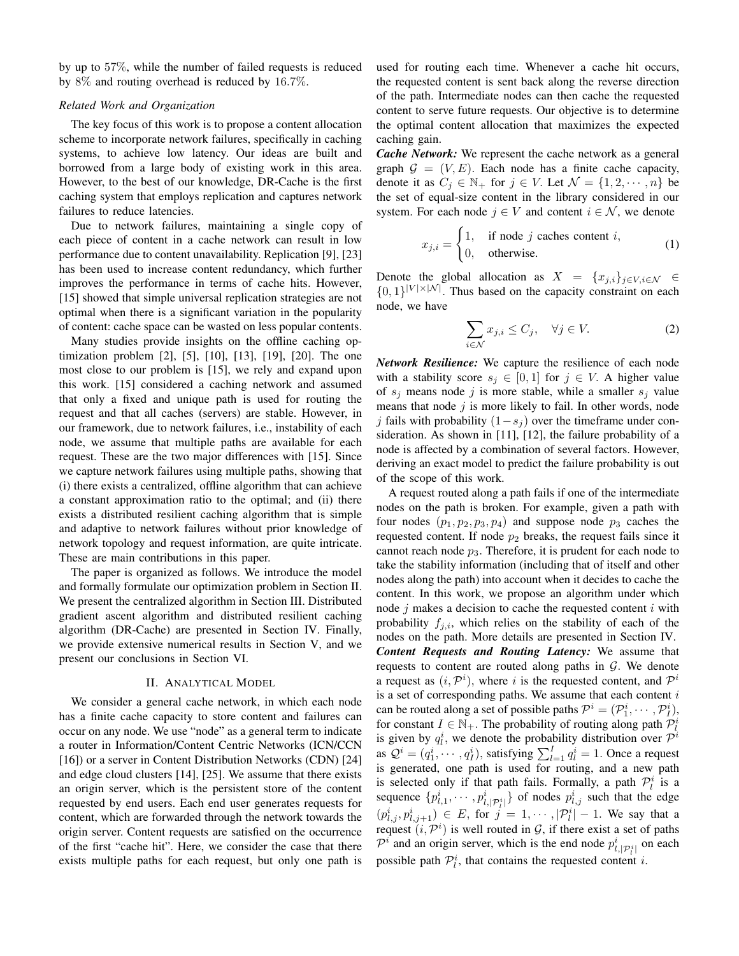by up to 57%, while the number of failed requests is reduced by 8% and routing overhead is reduced by 16.7%.

## *Related Work and Organization*

The key focus of this work is to propose a content allocation scheme to incorporate network failures, specifically in caching systems, to achieve low latency. Our ideas are built and borrowed from a large body of existing work in this area. However, to the best of our knowledge, DR-Cache is the first caching system that employs replication and captures network failures to reduce latencies.

Due to network failures, maintaining a single copy of each piece of content in a cache network can result in low performance due to content unavailability. Replication [9], [23] has been used to increase content redundancy, which further improves the performance in terms of cache hits. However, [15] showed that simple universal replication strategies are not optimal when there is a significant variation in the popularity of content: cache space can be wasted on less popular contents.

Many studies provide insights on the offline caching optimization problem [2], [5], [10], [13], [19], [20]. The one most close to our problem is [15], we rely and expand upon this work. [15] considered a caching network and assumed that only a fixed and unique path is used for routing the request and that all caches (servers) are stable. However, in our framework, due to network failures, i.e., instability of each node, we assume that multiple paths are available for each request. These are the two major differences with [15]. Since we capture network failures using multiple paths, showing that (i) there exists a centralized, offline algorithm that can achieve a constant approximation ratio to the optimal; and (ii) there exists a distributed resilient caching algorithm that is simple and adaptive to network failures without prior knowledge of network topology and request information, are quite intricate. These are main contributions in this paper.

The paper is organized as follows. We introduce the model and formally formulate our optimization problem in Section II. We present the centralized algorithm in Section III. Distributed gradient ascent algorithm and distributed resilient caching algorithm (DR-Cache) are presented in Section IV. Finally, we provide extensive numerical results in Section V, and we present our conclusions in Section VI.

#### II. ANALYTICAL MODEL

We consider a general cache network, in which each node has a finite cache capacity to store content and failures can occur on any node. We use "node" as a general term to indicate a router in Information/Content Centric Networks (ICN/CCN [16]) or a server in Content Distribution Networks (CDN) [24] and edge cloud clusters [14], [25]. We assume that there exists an origin server, which is the persistent store of the content requested by end users. Each end user generates requests for content, which are forwarded through the network towards the origin server. Content requests are satisfied on the occurrence of the first "cache hit". Here, we consider the case that there exists multiple paths for each request, but only one path is used for routing each time. Whenever a cache hit occurs, the requested content is sent back along the reverse direction of the path. Intermediate nodes can then cache the requested content to serve future requests. Our objective is to determine the optimal content allocation that maximizes the expected caching gain.

*Cache Network:* We represent the cache network as a general graph  $G = (V, E)$ . Each node has a finite cache capacity, denote it as  $C_i \in \mathbb{N}_+$  for  $j \in V$ . Let  $\mathcal{N} = \{1, 2, \dots, n\}$  be the set of equal-size content in the library considered in our system. For each node  $j \in V$  and content  $i \in \mathcal{N}$ , we denote

$$
x_{j,i} = \begin{cases} 1, & \text{if node } j \text{ caches content } i, \\ 0, & \text{otherwise.} \end{cases}
$$
 (1)

Denote the global allocation as  $X = \{x_{j,i}\}_{j \in V, i \in \mathcal{N}} \in$  $\{0,1\}^{|V| \times |{\cal N}|}$ . Thus based on the capacity constraint on each node, we have

$$
\sum_{i \in \mathcal{N}} x_{j,i} \le C_j, \quad \forall j \in V. \tag{2}
$$

*Network Resilience:* We capture the resilience of each node with a stability score  $s_j \in [0,1]$  for  $j \in V$ . A higher value of  $s_j$  means node j is more stable, while a smaller  $s_j$  value means that node  $j$  is more likely to fail. In other words, node j fails with probability  $(1-s_j)$  over the timeframe under consideration. As shown in [11], [12], the failure probability of a node is affected by a combination of several factors. However, deriving an exact model to predict the failure probability is out of the scope of this work.

A request routed along a path fails if one of the intermediate nodes on the path is broken. For example, given a path with four nodes  $(p_1, p_2, p_3, p_4)$  and suppose node  $p_3$  caches the requested content. If node  $p_2$  breaks, the request fails since it cannot reach node  $p_3$ . Therefore, it is prudent for each node to take the stability information (including that of itself and other nodes along the path) into account when it decides to cache the content. In this work, we propose an algorithm under which node  $j$  makes a decision to cache the requested content  $i$  with probability  $f_{j,i}$ , which relies on the stability of each of the nodes on the path. More details are presented in Section IV. *Content Requests and Routing Latency:* We assume that requests to content are routed along paths in  $G$ . We denote a request as  $(i, \mathcal{P}^i)$ , where i is the requested content, and  $\mathcal{P}^i$ is a set of corresponding paths. We assume that each content  $i$ can be routed along a set of possible paths  $\mathcal{P}^i = (\mathcal{P}^i_1, \cdots, \mathcal{P}^i_I),$ for constant  $I \in \mathbb{N}_+$ . The probability of routing along path  $\mathcal{P}_l^i$ is given by  $q_l^i$ , we denote the probability distribution over  $\mathcal{P}^i$ as  $Q^i = (q_1^i, \dots, q_I^i)$ , satisfying  $\sum_{l=1}^I q_l^i = 1$ . Once a request is generated, one path is used for routing, and a new path is selected only if that path fails. Formally, a path  $P_l^i$  is a sequence  $\{p_{l,1}^i, \dots, p_{l,|\mathcal{P}_l^i|\}}^i$  of nodes  $p_{l,j}^i$  such that the edge  $(p_{i,j}^i, p_{i,j+1}^i) \in E$ , for  $j = 1, \dots, |\mathcal{P}_i^i| - 1$ . We say that a request  $(i, \mathcal{P}^i)$  is well routed in  $\mathcal{G}$ , if there exist a set of paths  $\mathcal{P}^i$  and an origin server, which is the end node  $p_{l,|\mathcal{P}^i}^i$  on each possible path  $\mathcal{P}_l^i$ , that contains the requested content i.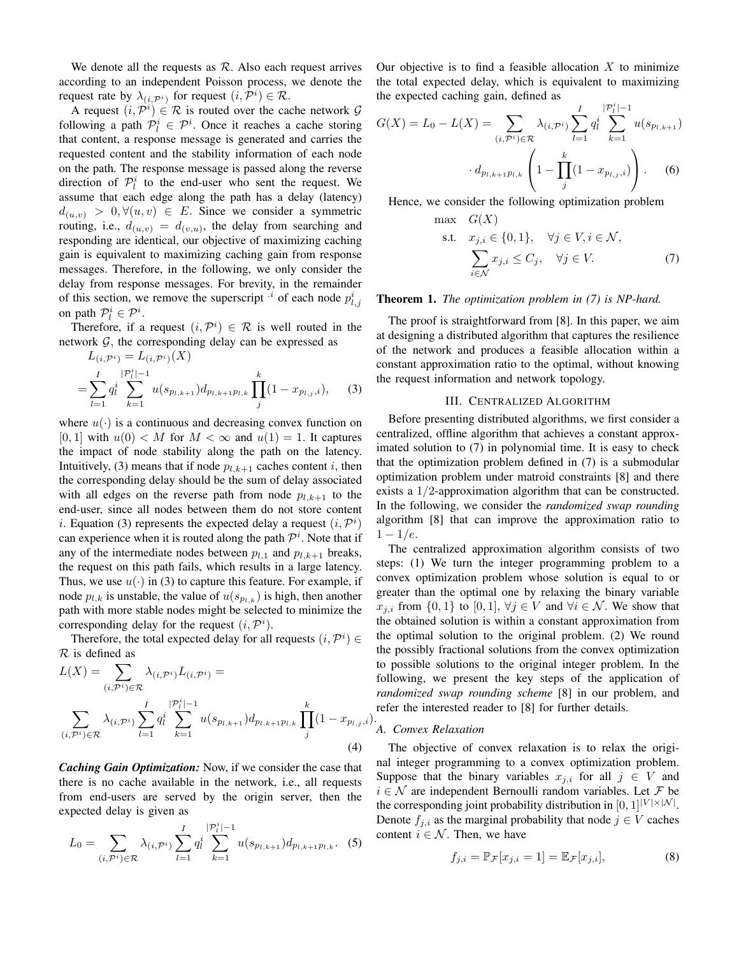We denote all the requests as  $R$ . Also each request arrives according to an independent Poisson process, we denote the request rate by  $\lambda_{(i,\mathcal{P}^i)}$  for request  $(i,\mathcal{P}^i) \in \mathcal{R}$ .

A request  $(i, \mathcal{P}^i) \in \mathcal{R}$  is routed over the cache network  $\mathcal{G}$ following a path  $\mathcal{P}_l^i \in \mathcal{P}^i$ . Once it reaches a cache storing that content, a response message is generated and carries the requested content and the stability information of each node on the path. The response message is passed along the reverse direction of  $\mathcal{P}_l^i$  to the end-user who sent the request. We assume that each edge along the path has a delay (latency)  $d_{(u,v)} > 0, \forall (u,v) \in E$ . Since we consider a symmetric routing, i.e.,  $d_{(u,v)} = d_{(v,u)}$ , the delay from searching and responding are identical, our objective of maximizing caching gain is equivalent to maximizing caching gain from response messages. Therefore, in the following, we only consider the delay from response messages. For brevity, in the remainder of this section, we remove the superscript  $\cdot^i$  of each node  $p_{i,j}^i$ on path  $P_l^i \in \mathcal{P}^i$ .

Therefore, if a request  $(i, \mathcal{P}^i) \in \mathcal{R}$  is well routed in the network  $\mathcal{G}$ , the corresponding delay can be expressed as

$$
L_{(i,\mathcal{P}^i)} = L_{(i,\mathcal{P}^i)}(X)
$$
  
= 
$$
\sum_{l=1}^{I} q_l^i \sum_{k=1}^{|\mathcal{P}_l^i|-1} u(s_{p_{l,k+1}}) d_{p_{l,k+1}p_{l,k}} \prod_j^k (1 - x_{p_{l,j},i}),
$$
 (3)

where  $u(\cdot)$  is a continuous and decreasing convex function on [0, 1] with  $u(0) < M$  for  $M < \infty$  and  $u(1) = 1$ . It captures the impact of node stability along the path on the latency. Intuitively, (3) means that if node  $p_{l,k+1}$  caches content i, then the corresponding delay should be the sum of delay associated with all edges on the reverse path from node  $p_{l,k+1}$  to the end-user, since all nodes between them do not store content *i*. Equation (3) represents the expected delay a request  $(i, \mathcal{P}^i)$ can experience when it is routed along the path  $\mathcal{P}^i$ . Note that if any of the intermediate nodes between  $p_{l,1}$  and  $p_{l,k+1}$  breaks, the request on this path fails, which results in a large latency. Thus, we use  $u(\cdot)$  in (3) to capture this feature. For example, if node  $p_{l,k}$  is unstable, the value of  $u(s_{p_{l,k}})$  is high, then another path with more stable nodes might be selected to minimize the corresponding delay for the request  $(i, \mathcal{P}^i)$ .

Therefore, the total expected delay for all requests  $(i, \mathcal{P}^i) \in$  $\mathcal R$  is defined as

$$
L(X) = \sum_{(i,\mathcal{P}^i)\in\mathcal{R}} \lambda_{(i,\mathcal{P}^i)} L_{(i,\mathcal{P}^i)} =
$$
  

$$
\sum_{(i,\mathcal{P}^i)\in\mathcal{R}} \lambda_{(i,\mathcal{P}^i)} \sum_{l=1}^I q_l^i \sum_{k=1}^{|\mathcal{P}_l^i|-1} u(s_{p_{l,k+1}}) d_{p_{l,k+1}p_{l,k}} \prod_j^k (1 - x_{p_{l,j},i}).
$$
  
(4)

*Caching Gain Optimization:* Now, if we consider the case that there is no cache available in the network, i.e., all requests from end-users are served by the origin server, then the expected delay is given as

$$
L_0 = \sum_{(i,\mathcal{P}^i)\in\mathcal{R}} \lambda_{(i,\mathcal{P}^i)} \sum_{l=1}^I q_l^i \sum_{k=1}^{|\mathcal{P}_l^i|-1} u(s_{p_{l,k+1}}) d_{p_{l,k+1}p_{l,k}}.
$$
 (5)

Our objective is to find a feasible allocation  $X$  to minimize the total expected delay, which is equivalent to maximizing the expected caching gain, defined as

$$
G(X) = L_0 - L(X) = \sum_{(i,\mathcal{P}^i) \in \mathcal{R}} \lambda_{(i,\mathcal{P}^i)} \sum_{l=1}^I q_l^i \sum_{k=1}^{|\mathcal{P}_l^i|-1} u(s_{p_{l,k+1}})
$$

$$
\cdot d_{p_{l,k+1}p_{l,k}} \left(1 - \prod_{j}^k (1 - x_{p_{l,j},i})\right). \tag{6}
$$

Hence, we consider the following optimization problem

max 
$$
G(X)
$$
  
\ns.t.  $x_{j,i} \in \{0,1\}, \quad \forall j \in V, i \in \mathcal{N},$   
\n
$$
\sum_{i \in \mathcal{N}} x_{j,i} \leq C_j, \quad \forall j \in V.
$$
\n(7)

## Theorem 1. *The optimization problem in (7) is NP-hard.*

The proof is straightforward from [8]. In this paper, we aim at designing a distributed algorithm that captures the resilience of the network and produces a feasible allocation within a constant approximation ratio to the optimal, without knowing the request information and network topology.

#### III. CENTRALIZED ALGORITHM

Before presenting distributed algorithms, we first consider a centralized, offline algorithm that achieves a constant approximated solution to (7) in polynomial time. It is easy to check that the optimization problem defined in (7) is a submodular optimization problem under matroid constraints [8] and there exists a 1/2-approximation algorithm that can be constructed. In the following, we consider the *randomized swap rounding* algorithm [8] that can improve the approximation ratio to  $1 - 1/e$ .

The centralized approximation algorithm consists of two steps: (1) We turn the integer programming problem to a convex optimization problem whose solution is equal to or greater than the optimal one by relaxing the binary variable  $x_{i,i}$  from  $\{0,1\}$  to  $[0,1]$ ,  $\forall j \in V$  and  $\forall i \in \mathcal{N}$ . We show that the obtained solution is within a constant approximation from the optimal solution to the original problem. (2) We round the possibly fractional solutions from the convex optimization to possible solutions to the original integer problem. In the following, we present the key steps of the application of *randomized swap rounding scheme* [8] in our problem, and refer the interested reader to [8] for further details.

#### *A. Convex Relaxation*

The objective of convex relaxation is to relax the original integer programming to a convex optimization problem. Suppose that the binary variables  $x_{i,i}$  for all  $j \in V$  and  $i \in \mathcal{N}$  are independent Bernoulli random variables. Let  $\mathcal F$  be the corresponding joint probability distribution in  $[0,1]^{V|\times|{\cal N}|}$ . Denote  $f_{j,i}$  as the marginal probability that node  $j \in V$  caches content  $i \in \mathcal{N}$ . Then, we have

$$
f_{j,i} = \mathbb{P}_{\mathcal{F}}[x_{j,i} = 1] = \mathbb{E}_{\mathcal{F}}[x_{j,i}],
$$
\n(8)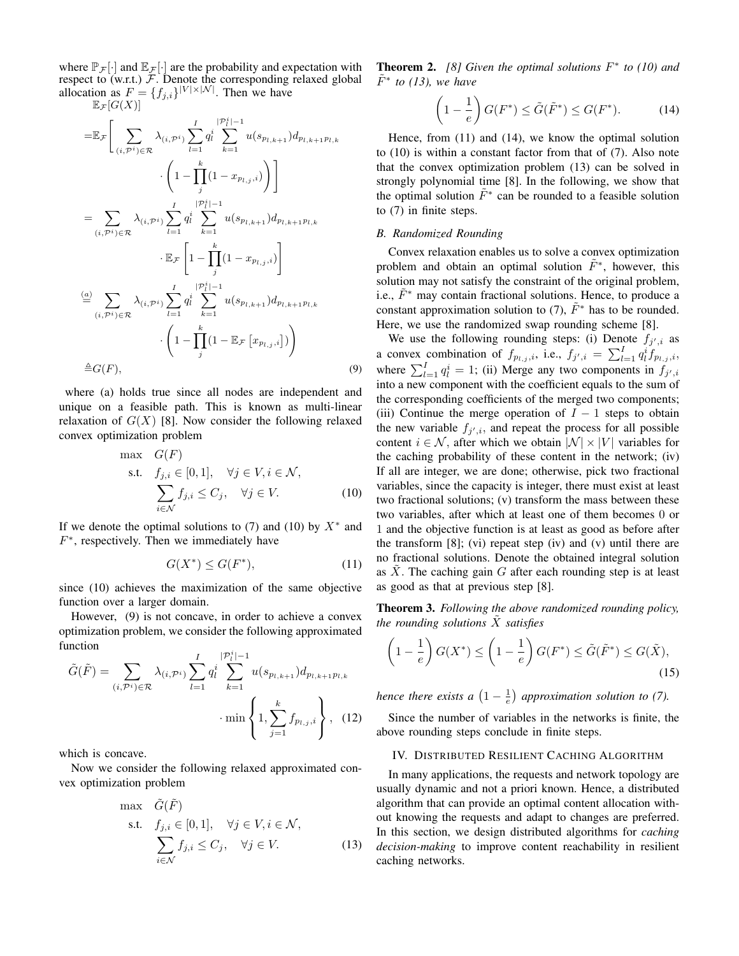where  $\mathbb{P}_{\mathcal{F}}[\cdot]$  and  $\mathbb{E}_{\mathcal{F}}[\cdot]$  are the probability and expectation with respect to (w.r.t.)  $F$ . Denote the corresponding relaxed global allocation as  $F = \{f_{j,i}\}^{|V| \times |{\cal N}|}$ . Then we have  $E_{\mathcal{F}}[G(X)]$ 

$$
\begin{split}\n&= \mathbb{E}_{\mathcal{F}} \Bigg[ \sum_{(i,\mathcal{P}^i) \in \mathcal{R}} \lambda_{(i,\mathcal{P}^i)} \sum_{l=1}^I q_l^{i} \sum_{k=1}^{|\mathcal{P}_l^i|-1} u(s_{p_{l,k+1}}) d_{p_{l,k+1}p_{l,k}} \\
&\cdot \left( 1 - \prod_j^k (1 - x_{p_{l,j},i}) \right) \Bigg] \\
&= \sum_{(i,\mathcal{P}^i) \in \mathcal{R}} \lambda_{(i,\mathcal{P}^i)} \sum_{l=1}^I q_l^{i} \sum_{k=1}^{|\mathcal{P}_l^i|-1} u(s_{p_{l,k+1}}) d_{p_{l,k+1}p_{l,k}} \\
&\cdot \mathbb{E}_{\mathcal{F}} \Bigg[ 1 - \prod_j^k (1 - x_{p_{l,j},i}) \Bigg] \\
\overset{(a)}{=} \sum_{(i,\mathcal{P}^i) \in \mathcal{R}} \lambda_{(i,\mathcal{P}^i)} \sum_{l=1}^I q_l^{i} \sum_{k=1}^{|\mathcal{P}_l^i|-1} u(s_{p_{l,k+1}}) d_{p_{l,k+1}p_{l,k}} \\
&\cdot \left( 1 - \prod_j^k (1 - \mathbb{E}_{\mathcal{F}} [x_{p_{l,j},i}]) \right) \\
&\triangleq G(F), \tag{9}\n\end{split}
$$

where (a) holds true since all nodes are independent and unique on a feasible path. This is known as multi-linear relaxation of  $G(X)$  [8]. Now consider the following relaxed convex optimization problem

max 
$$
G(F)
$$
  
\ns.t.  $f_{j,i} \in [0,1], \quad \forall j \in V, i \in \mathcal{N},$   
\n
$$
\sum_{i \in \mathcal{N}} f_{j,i} \leq C_j, \quad \forall j \in V.
$$
\n(10)

If we denote the optimal solutions to  $(7)$  and  $(10)$  by  $X^*$  and  $F^*$ , respectively. Then we immediately have

$$
G(X^*) \le G(F^*),\tag{11}
$$

since (10) achieves the maximization of the same objective function over a larger domain.

However, (9) is not concave, in order to achieve a convex optimization problem, we consider the following approximated function

$$
\tilde{G}(\tilde{F}) = \sum_{(i,\mathcal{P}^i)\in\mathcal{R}} \lambda_{(i,\mathcal{P}^i)} \sum_{l=1}^I q_l^i \sum_{k=1}^{|\mathcal{P}_l^i|-1} u(s_{p_{l,k+1}}) d_{p_{l,k+1}p_{l,k}} \cdot \min\left\{1, \sum_{j=1}^k f_{p_{l,j},i}\right\}, (12)
$$

which is concave.

Now we consider the following relaxed approximated convex optimization problem

max 
$$
\tilde{G}(\tilde{F})
$$
  
s.t.  $f_{j,i} \in [0,1], \quad \forall j \in V, i \in \mathcal{N},$   

$$
\sum_{i \in \mathcal{N}} f_{j,i} \leq C_j, \quad \forall j \in V.
$$
 (13)

**Theorem 2.** [8] Given the optimal solutions  $F^*$  to (10) and  $\tilde{F}^*$  to (13), we have

$$
\left(1 - \frac{1}{e}\right) G(F^*) \leq \tilde{G}(\tilde{F}^*) \leq G(F^*). \tag{14}
$$

Hence, from (11) and (14), we know the optimal solution to (10) is within a constant factor from that of (7). Also note that the convex optimization problem (13) can be solved in strongly polynomial time [8]. In the following, we show that the optimal solution  $\tilde{F}^*$  can be rounded to a feasible solution to (7) in finite steps.

## *B. Randomized Rounding*

Convex relaxation enables us to solve a convex optimization problem and obtain an optimal solution  $\tilde{F}^*$ , however, this solution may not satisfy the constraint of the original problem, i.e.,  $F^*$  may contain fractional solutions. Hence, to produce a constant approximation solution to (7),  $\tilde{F}^*$  has to be rounded. Here, we use the randomized swap rounding scheme [8].

We use the following rounding steps: (i) Denote  $f_{j',i}$  as a convex combination of  $f_{p_{l,j},i}$ , i.e.,  $f_{j',i} = \sum_{l=1}^{I} q_l^{i} f_{p_{l,j},i}$ , where  $\sum_{l=1}^{I} q_l^i = 1$ ; (ii) Merge any two components in  $f_{j',i}$ into a new component with the coefficient equals to the sum of the corresponding coefficients of the merged two components; (iii) Continue the merge operation of  $I - 1$  steps to obtain the new variable  $f_{j',i}$ , and repeat the process for all possible content  $i \in \mathcal{N}$ , after which we obtain  $|\mathcal{N}| \times |V|$  variables for the caching probability of these content in the network; (iv) If all are integer, we are done; otherwise, pick two fractional variables, since the capacity is integer, there must exist at least two fractional solutions; (v) transform the mass between these two variables, after which at least one of them becomes 0 or 1 and the objective function is at least as good as before after the transform  $[8]$ ; (vi) repeat step (iv) and (v) until there are no fractional solutions. Denote the obtained integral solution as  $\hat{X}$ . The caching gain G after each rounding step is at least as good as that at previous step [8].

Theorem 3. *Following the above randomized rounding policy, the rounding solutions* X˜ *satisfies*

$$
\left(1 - \frac{1}{e}\right)G(X^*) \le \left(1 - \frac{1}{e}\right)G(F^*) \le \tilde{G}(\tilde{F}^*) \le G(\tilde{X}),\tag{15}
$$

*hence there exists a*  $\left(1-\frac{1}{e}\right)$  *approximation solution to (7).* 

Since the number of variables in the networks is finite, the above rounding steps conclude in finite steps.

#### IV. DISTRIBUTED RESILIENT CACHING ALGORITHM

In many applications, the requests and network topology are usually dynamic and not a priori known. Hence, a distributed algorithm that can provide an optimal content allocation without knowing the requests and adapt to changes are preferred. In this section, we design distributed algorithms for *caching decision-making* to improve content reachability in resilient caching networks.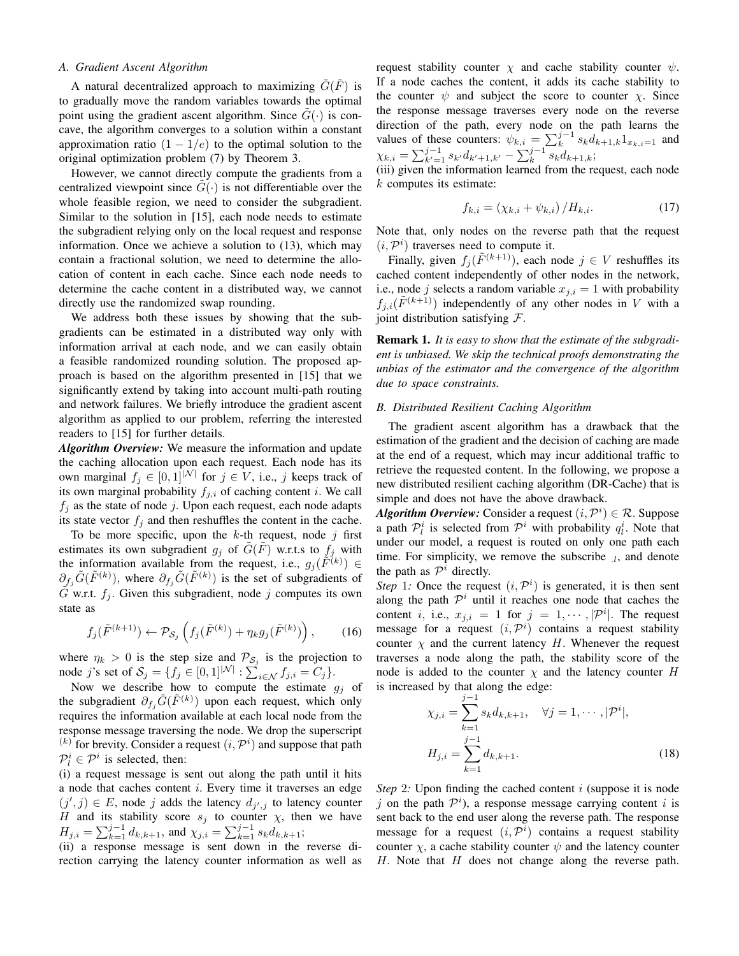## *A. Gradient Ascent Algorithm*

A natural decentralized approach to maximizing  $\tilde{G}(\tilde{F})$  is to gradually move the random variables towards the optimal point using the gradient ascent algorithm. Since  $G(\cdot)$  is concave, the algorithm converges to a solution within a constant approximation ratio  $(1 - 1/e)$  to the optimal solution to the original optimization problem (7) by Theorem 3.

However, we cannot directly compute the gradients from a centralized viewpoint since  $G(\cdot)$  is not differentiable over the whole feasible region, we need to consider the subgradient. Similar to the solution in [15], each node needs to estimate the subgradient relying only on the local request and response information. Once we achieve a solution to (13), which may contain a fractional solution, we need to determine the allocation of content in each cache. Since each node needs to determine the cache content in a distributed way, we cannot directly use the randomized swap rounding.

We address both these issues by showing that the subgradients can be estimated in a distributed way only with information arrival at each node, and we can easily obtain a feasible randomized rounding solution. The proposed approach is based on the algorithm presented in [15] that we significantly extend by taking into account multi-path routing and network failures. We briefly introduce the gradient ascent algorithm as applied to our problem, referring the interested readers to [15] for further details.

*Algorithm Overview:* We measure the information and update the caching allocation upon each request. Each node has its own marginal  $f_j \in [0,1]^{|\mathcal{N}|}$  for  $j \in V$ , i.e., j keeps track of its own marginal probability  $f_{j,i}$  of caching content i. We call  $f_i$  as the state of node j. Upon each request, each node adapts its state vector  $f_j$  and then reshuffles the content in the cache.

To be more specific, upon the  $k$ -th request, node  $j$  first estimates its own subgradient  $g_j$  of  $\tilde{G}(F)$  w.r.t.s to  $f_j$  with the information available from the request, i.e.,  $g_j(\tilde{F}^{(k)}) \in$  $\partial_{f_j}\tilde{G}(\tilde{F}^{(k)})$ , where  $\partial_{f_j}\tilde{G}(\tilde{F}^{(k)})$  is the set of subgradients of G w.r.t.  $f_j$ . Given this subgradient, node j computes its own state as

$$
f_j(\tilde{F}^{(k+1)}) \leftarrow \mathcal{P}_{\mathcal{S}_j}\left(f_j(\tilde{F}^{(k)}) + \eta_k g_j(\tilde{F}^{(k)})\right),\tag{16}
$$

where  $\eta_k > 0$  is the step size and  $\mathcal{P}_{S_j}$  is the projection to node *j*'s set of  $S_j = \{ f_j \in [0,1]^{|\mathcal{N}|} : \sum_{i \in \mathcal{N}} f_{j,i} = C_j \}.$ 

Now we describe how to compute the estimate  $g_j$  of the subgradient  $\partial_{f_j}\tilde{G}(\tilde{F}^{(k)})$  upon each request, which only requires the information available at each local node from the response message traversing the node. We drop the superscript  $(k)$  for brevity. Consider a request  $(i, \mathcal{P}^i)$  and suppose that path  $P_l^i \in \mathcal{P}^i$  is selected, then:

(i) a request message is sent out along the path until it hits a node that caches content  $i$ . Every time it traverses an edge  $(j', j) \in E$ , node j adds the latency  $d_{j', j}$  to latency counter H and its stability score  $s_j$  to counter  $\chi$ , then we have  $H_{j,i} = \sum_{k=1}^{j-1} d_{k,k+1}$ , and  $\chi_{j,i} = \sum_{k=1}^{j-1} s_k d_{k,k+1}$ ;

(ii) a response message is sent down in the reverse direction carrying the latency counter information as well as request stability counter  $\chi$  and cache stability counter  $\psi$ . If a node caches the content, it adds its cache stability to the counter  $\psi$  and subject the score to counter  $\chi$ . Since the response message traverses every node on the reverse direction of the path, every node on the path learns the values of these counters:  $\psi_{k,i} = \sum_{k=1}^{j-1} s_k d_{k+1,k} 1_{x_{k,i}=1}$  and  $\chi_{k,i} = \sum_{k'=1}^{j-1} s_{k'} d_{k'+1,k'} - \sum_{k=1}^{j-1} s_{k} d_{k+1,k};$ 

(iii) given the information learned from the request, each node  $k$  computes its estimate:

$$
f_{k,i} = (\chi_{k,i} + \psi_{k,i}) / H_{k,i}.
$$
 (17)

Note that, only nodes on the reverse path that the request  $(i, \mathcal{P}^i)$  traverses need to compute it.

Finally, given  $f_j(\tilde{F}^{(k+1)})$ , each node  $j \in V$  reshuffles its cached content independently of other nodes in the network, i.e., node j selects a random variable  $x_{j,i} = 1$  with probability  $f_{j,i}(\tilde{F}^{(k+1)})$  independently of any other nodes in V with a joint distribution satisfying  $F$ .

Remark 1. *It is easy to show that the estimate of the subgradient is unbiased. We skip the technical proofs demonstrating the unbias of the estimator and the convergence of the algorithm due to space constraints.*

#### *B. Distributed Resilient Caching Algorithm*

The gradient ascent algorithm has a drawback that the estimation of the gradient and the decision of caching are made at the end of a request, which may incur additional traffic to retrieve the requested content. In the following, we propose a new distributed resilient caching algorithm (DR-Cache) that is simple and does not have the above drawback.

*Algorithm Overview:* Consider a request  $(i, \mathcal{P}^i) \in \mathcal{R}$ . Suppose a path  $P_l^i$  is selected from  $P_i^i$  with probability  $q_l^i$ . Note that under our model, a request is routed on only one path each time. For simplicity, we remove the subscribe  $\iota$ , and denote the path as  $\mathcal{P}^i$  directly.

*Step* 1: Once the request  $(i, \mathcal{P}^i)$  is generated, it is then sent along the path  $\mathcal{P}^i$  until it reaches one node that caches the content *i*, i.e.,  $x_{j,i} = 1$  for  $j = 1, \dots, |\mathcal{P}^i|$ . The request message for a request  $(i, \mathcal{P}^i)$  contains a request stability counter  $\chi$  and the current latency H. Whenever the request traverses a node along the path, the stability score of the node is added to the counter  $\chi$  and the latency counter H is increased by that along the edge:

$$
\chi_{j,i} = \sum_{k=1}^{j-1} s_k d_{k,k+1}, \quad \forall j = 1, \cdots, |\mathcal{P}^i|,
$$
  

$$
H_{j,i} = \sum_{k=1}^{j-1} d_{k,k+1}.
$$
 (18)

*Step* 2*:* Upon finding the cached content  $i$  (suppose it is node j on the path  $\mathcal{P}^i$ ), a response message carrying content i is sent back to the end user along the reverse path. The response message for a request  $(i, \mathcal{P}^i)$  contains a request stability counter  $\chi$ , a cache stability counter  $\psi$  and the latency counter  $H$ . Note that  $H$  does not change along the reverse path.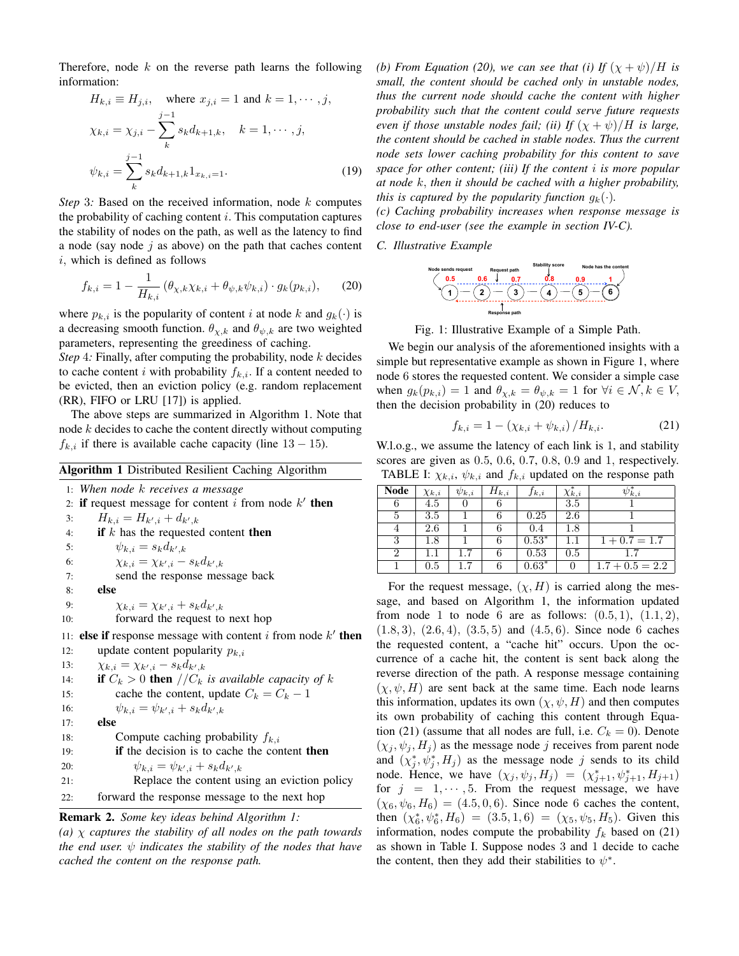Therefore, node  $k$  on the reverse path learns the following information:

$$
H_{k,i} \equiv H_{j,i}, \text{ where } x_{j,i} = 1 \text{ and } k = 1, \dots, j,
$$
  
\n
$$
\chi_{k,i} = \chi_{j,i} - \sum_{k}^{j-1} s_k d_{k+1,k}, \quad k = 1, \dots, j,
$$
  
\n
$$
\psi_{k,i} = \sum_{k}^{j-1} s_k d_{k+1,k} 1_{x_{k,i}=1}.
$$
\n(19)

*Step* 3*:* Based on the received information, node k computes the probability of caching content  $i$ . This computation captures the stability of nodes on the path, as well as the latency to find a node (say node  $j$  as above) on the path that caches content  $i$ , which is defined as follows

$$
f_{k,i} = 1 - \frac{1}{H_{k,i}} \left( \theta_{\chi,k} \chi_{k,i} + \theta_{\psi,k} \psi_{k,i} \right) \cdot g_k(p_{k,i}), \tag{20}
$$

where  $p_{k,i}$  is the popularity of content i at node k and  $g_k(\cdot)$  is a decreasing smooth function.  $\theta_{\chi,k}$  and  $\theta_{\psi,k}$  are two weighted parameters, representing the greediness of caching.

*Step* 4: Finally, after computing the probability, node k decides to cache content i with probability  $f_{k,i}$ . If a content needed to be evicted, then an eviction policy (e.g. random replacement (RR), FIFO or LRU [17]) is applied.

The above steps are summarized in Algorithm 1. Note that node k decides to cache the content directly without computing  $f_{k,i}$  if there is available cache capacity (line  $13 - 15$ ).

Algorithm 1 Distributed Resilient Caching Algorithm

1: *When node* k *receives a message* 2: if request message for content i from node  $k'$  then 3:  $H_{k,i} = H_{k',i} + d_{k',k}$ 4: if k has the requested content then 5:  $\psi_{k,i} = s_k d_{k',k}$ 6:  $\chi_{k,i} = \chi_{k',i} - s_k d_{k',k}$ 7: send the response message back 8: else 9:  $\chi_{k,i} = \chi_{k',i} + s_k d_{k',k}$ 10: forward the request to next hop 11: else if response message with content  $i$  from node  $k'$  then 12: update content popularity  $p_{k,i}$ 13:  $\chi_{k,i} = \chi_{k',i} - s_k d_{k',k}$ 14: **if**  $C_k > 0$  **then**  $//C_k$  *is available capacity of* k 15: cache the content, update  $C_k = C_k - 1$ 16:  $\psi_{k,i} = \psi_{k',i} + s_k d_{k',k}$ 17: else 18: Compute caching probability  $f_{k,i}$ 19: if the decision is to cache the content then 20:  $\psi_{k,i} = \psi_{k',i} + s_k d_{k',k}$ 21: Replace the content using an eviction policy 22: forward the response message to the next hop



*(a)* χ *captures the stability of all nodes on the path towards the end user.* ψ *indicates the stability of the nodes that have cached the content on the response path.*

*(b) From Equation (20), we can see that (i) If*  $(\chi + \psi)/H$  *is small, the content should be cached only in unstable nodes, thus the current node should cache the content with higher probability such that the content could serve future requests even if those unstable nodes fail; (ii) If*  $(\chi + \psi)/H$  *is large, the content should be cached in stable nodes. Thus the current node sets lower caching probability for this content to save space for other content; (iii) If the content* i *is more popular at node* k, *then it should be cached with a higher probability, this is captured by the popularity function*  $q_k(\cdot)$ *.* 

*(c) Caching probability increases when response message is close to end-user (see the example in section IV-C).*

## *C. Illustrative Example*

**1 2 3 4 5 6 0.5 0.6 0.7 0.8 0.9 1 Stability score Node has the content Node sends request Request path Response path** 

Fig. 1: Illustrative Example of a Simple Path.

We begin our analysis of the aforementioned insights with a simple but representative example as shown in Figure 1, where node 6 stores the requested content. We consider a simple case when  $g_k(p_{k,i}) = 1$  and  $\theta_{\chi,k} = \theta_{\psi,k} = 1$  for  $\forall i \in \mathcal{N}, k \in V$ , then the decision probability in (20) reduces to

$$
f_{k,i} = 1 - \left(\chi_{k,i} + \psi_{k,i}\right) / H_{k,i}.
$$
 (21)

W.l.o.g., we assume the latency of each link is 1, and stability scores are given as 0.5, 0.6, 0.7, 0.8, 0.9 and 1, respectively. TABLE I:  $\chi_{k,i}$ ,  $\psi_{k,i}$  and  $f_{k,i}$  updated on the response path

| <b>Node</b>    | $\chi_{k,i}$ | $\psi_{k,i}$ | $H_{k,i}$ | $J_{k,i}$ | $\chi_{k,i}$ | $\mu_{k,i}$       |
|----------------|--------------|--------------|-----------|-----------|--------------|-------------------|
| 6              | 4.5          |              | 6         |           | 3.5          |                   |
| 5              | 3.5          |              |           | 0.25      | 2.6          |                   |
| 4              | 2.6          |              |           | 0.4       | 1.8          |                   |
| 3              | 1.8          |              | 6         | $0.53*$   | $1.1\,$      | $1 + 0.7 = 1.7$   |
| $\overline{2}$ |              | 1.7          |           | 0.53      | 0.5          |                   |
|                | 0.5          | 1.7          | 6         | $0.63*$   |              | $1.7 + 0.5 = 2.2$ |

For the request message,  $(\chi, H)$  is carried along the message, and based on Algorithm 1, the information updated from node 1 to node 6 are as follows:  $(0.5, 1)$ ,  $(1.1, 2)$ ,  $(1.8, 3), (2.6, 4), (3.5, 5)$  and  $(4.5, 6)$ . Since node 6 caches the requested content, a "cache hit" occurs. Upon the occurrence of a cache hit, the content is sent back along the reverse direction of the path. A response message containing  $(\chi, \psi, H)$  are sent back at the same time. Each node learns this information, updates its own  $(\chi, \psi, H)$  and then computes its own probability of caching this content through Equation (21) (assume that all nodes are full, i.e.  $C_k = 0$ ). Denote  $(\chi_j, \psi_j, H_j)$  as the message node j receives from parent node and  $(\chi_j^*, \psi_j^*, H_j)$  as the message node j sends to its child node. Hence, we have  $(\chi_j, \psi_j, H_j) = (\chi_{j+1}^*, \psi_{j+1}^*, H_{j+1})$ for  $j = 1, \dots, 5$ . From the request message, we have  $(\chi_6, \psi_6, H_6) = (4.5, 0, 6)$ . Since node 6 caches the content, then  $(\chi_6^*, \psi_6^*, H_6) = (3.5, 1, 6) = (\chi_5, \psi_5, H_5)$ . Given this information, nodes compute the probability  $f_k$  based on (21) as shown in Table I. Suppose nodes 3 and 1 decide to cache the content, then they add their stabilities to  $\psi^*$ .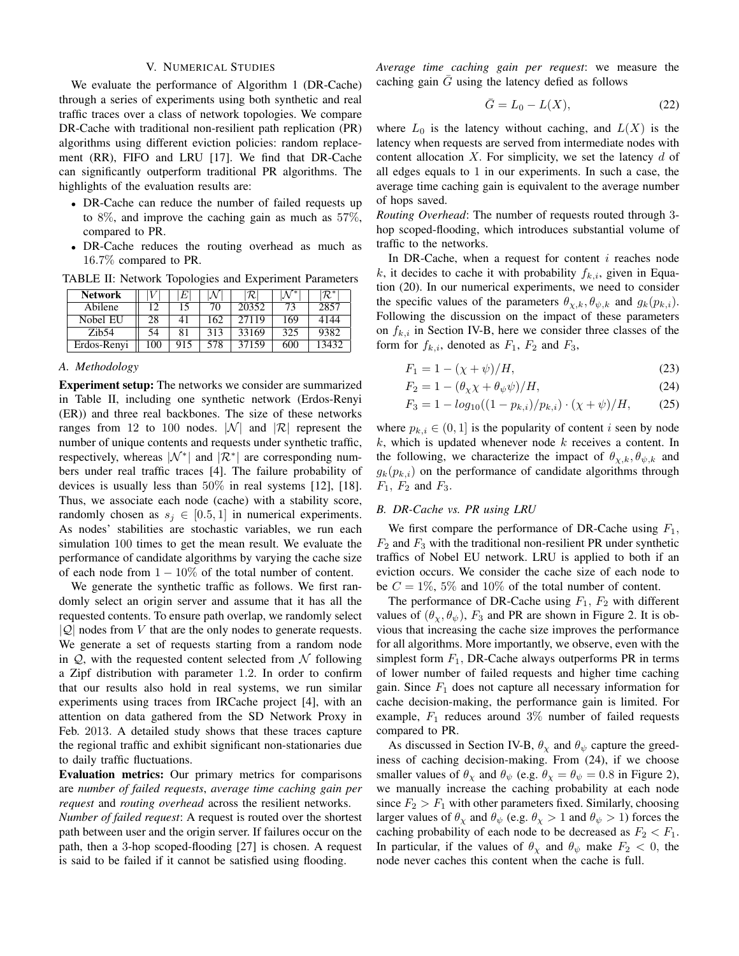#### V. NUMERICAL STUDIES

We evaluate the performance of Algorithm 1 (DR-Cache) through a series of experiments using both synthetic and real traffic traces over a class of network topologies. We compare DR-Cache with traditional non-resilient path replication (PR) algorithms using different eviction policies: random replacement (RR), FIFO and LRU [17]. We find that DR-Cache can significantly outperform traditional PR algorithms. The highlights of the evaluation results are:

- DR-Cache can reduce the number of failed requests up to 8%, and improve the caching gain as much as 57%, compared to PR.
- DR-Cache reduces the routing overhead as much as 16.7% compared to PR.

TABLE II: Network Topologies and Experiment Parameters

| <b>Network</b>    |     | Η,  |     | R     |     | R    |
|-------------------|-----|-----|-----|-------|-----|------|
| Abilene           |     |     | 70  | 20352 | 73  | 2857 |
| Nobel EU          | 28  | 41  | 162 | 27119 | 169 | 4144 |
| Zib <sub>54</sub> | 54  | 81  | 313 | 33169 | 325 | 9382 |
| Erdos-Renyi       | 100 | 915 | 578 | 37159 | 600 | 3432 |

## *A. Methodology*

Experiment setup: The networks we consider are summarized in Table II, including one synthetic network (Erdos-Renyi (ER)) and three real backbones. The size of these networks ranges from 12 to 100 nodes.  $|\mathcal{N}|$  and  $|\mathcal{R}|$  represent the number of unique contents and requests under synthetic traffic, respectively, whereas  $|\mathcal{N}^*|$  and  $|\mathcal{R}^*|$  are corresponding numbers under real traffic traces [4]. The failure probability of devices is usually less than 50% in real systems [12], [18]. Thus, we associate each node (cache) with a stability score, randomly chosen as  $s_i \in [0.5, 1]$  in numerical experiments. As nodes' stabilities are stochastic variables, we run each simulation 100 times to get the mean result. We evaluate the performance of candidate algorithms by varying the cache size of each node from  $1 - 10\%$  of the total number of content.

We generate the synthetic traffic as follows. We first randomly select an origin server and assume that it has all the requested contents. To ensure path overlap, we randomly select  $|Q|$  nodes from V that are the only nodes to generate requests. We generate a set of requests starting from a random node in  $Q$ , with the requested content selected from N following a Zipf distribution with parameter 1.2. In order to confirm that our results also hold in real systems, we run similar experiments using traces from IRCache project [4], with an attention on data gathered from the SD Network Proxy in Feb. 2013. A detailed study shows that these traces capture the regional traffic and exhibit significant non-stationaries due to daily traffic fluctuations.

Evaluation metrics: Our primary metrics for comparisons are *number of failed requests*, *average time caching gain per request* and *routing overhead* across the resilient networks.

*Number of failed request*: A request is routed over the shortest path between user and the origin server. If failures occur on the path, then a 3-hop scoped-flooding [27] is chosen. A request is said to be failed if it cannot be satisfied using flooding.

*Average time caching gain per request*: we measure the caching gain  $G$  using the latency defied as follows

$$
\bar{G} = L_0 - L(X),\tag{22}
$$

where  $L_0$  is the latency without caching, and  $L(X)$  is the latency when requests are served from intermediate nodes with content allocation  $X$ . For simplicity, we set the latency  $d$  of all edges equals to 1 in our experiments. In such a case, the average time caching gain is equivalent to the average number of hops saved.

*Routing Overhead*: The number of requests routed through 3 hop scoped-flooding, which introduces substantial volume of traffic to the networks.

In DR-Cache, when a request for content  $i$  reaches node k, it decides to cache it with probability  $f_{k,i}$ , given in Equation (20). In our numerical experiments, we need to consider the specific values of the parameters  $\theta_{\chi,k}, \theta_{\psi,k}$  and  $g_k(p_{k,i})$ . Following the discussion on the impact of these parameters on  $f_{k,i}$  in Section IV-B, here we consider three classes of the form for  $f_{k,i}$ , denoted as  $F_1$ ,  $F_2$  and  $F_3$ ,

$$
F_1 = 1 - (\chi + \psi)/H,
$$
\n(23)

$$
F_2 = 1 - (\theta_\chi \chi + \theta_\psi \psi) / H,\tag{24}
$$

$$
F_3 = 1 - log_{10}((1 - p_{k,i})/p_{k,i}) \cdot (\chi + \psi)/H, \tag{25}
$$

where  $p_{k,i} \in (0,1]$  is the popularity of content i seen by node  $k$ , which is updated whenever node  $k$  receives a content. In the following, we characterize the impact of  $\theta_{\chi,k}, \theta_{\psi,k}$  and  $g_k(p_{k,i})$  on the performance of candidate algorithms through  $F_1$ ,  $F_2$  and  $F_3$ .

## *B. DR-Cache vs. PR using LRU*

We first compare the performance of DR-Cache using  $F_1$ ,  $F_2$  and  $F_3$  with the traditional non-resilient PR under synthetic traffics of Nobel EU network. LRU is applied to both if an eviction occurs. We consider the cache size of each node to be  $C = 1\%$ , 5% and 10% of the total number of content.

The performance of DR-Cache using  $F_1$ ,  $F_2$  with different values of  $(\theta_x, \theta_y)$ ,  $F_3$  and PR are shown in Figure 2. It is obvious that increasing the cache size improves the performance for all algorithms. More importantly, we observe, even with the simplest form  $F_1$ , DR-Cache always outperforms PR in terms of lower number of failed requests and higher time caching gain. Since  $F_1$  does not capture all necessary information for cache decision-making, the performance gain is limited. For example,  $F_1$  reduces around 3% number of failed requests compared to PR.

As discussed in Section IV-B,  $\theta_{\chi}$  and  $\theta_{\psi}$  capture the greediness of caching decision-making. From (24), if we choose smaller values of  $\theta_{\chi}$  and  $\theta_{\psi}$  (e.g.  $\theta_{\chi} = \theta_{\psi} = 0.8$  in Figure 2), we manually increase the caching probability at each node since  $F_2 > F_1$  with other parameters fixed. Similarly, choosing larger values of  $\theta_{\chi}$  and  $\theta_{\psi}$  (e.g.  $\theta_{\chi} > 1$  and  $\theta_{\psi} > 1$ ) forces the caching probability of each node to be decreased as  $F_2 < F_1$ . In particular, if the values of  $\theta_{\chi}$  and  $\theta_{\psi}$  make  $F_2 < 0$ , the node never caches this content when the cache is full.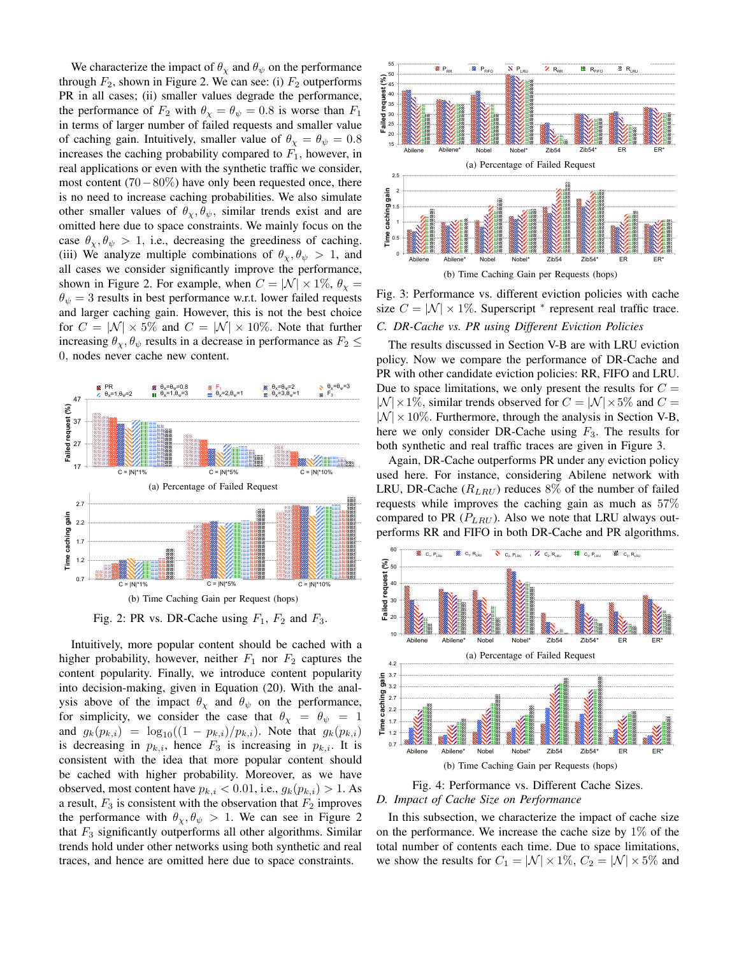We characterize the impact of  $\theta_{\chi}$  and  $\theta_{\psi}$  on the performance through  $F_2$ , shown in Figure 2. We can see: (i)  $F_2$  outperforms PR in all cases; (ii) smaller values degrade the performance, the performance of  $F_2$  with  $\theta_{\chi} = \theta_{\psi} = 0.8$  is worse than  $F_1$ in terms of larger number of failed requests and smaller value of caching gain. Intuitively, smaller value of  $\theta_{\chi} = \theta_{\psi} = 0.8$ increases the caching probability compared to  $F_1$ , however, in real applications or even with the synthetic traffic we consider, most content (70−80%) have only been requested once, there is no need to increase caching probabilities. We also simulate other smaller values of  $\theta_{\chi}, \theta_{\psi}$ , similar trends exist and are omitted here due to space constraints. We mainly focus on the case  $\theta_{\rm x}, \theta_{\rm \psi} > 1$ , i.e., decreasing the greediness of caching. (iii) We analyze multiple combinations of  $\theta_{\chi}, \theta_{\psi} > 1$ , and all cases we consider significantly improve the performance, shown in Figure 2. For example, when  $C = |\mathcal{N}| \times 1\%$ ,  $\theta_{\chi} =$  $\theta_{\psi} = 3$  results in best performance w.r.t. lower failed requests and larger caching gain. However, this is not the best choice for  $C = |\mathcal{N}| \times 5\%$  and  $C = |\mathcal{N}| \times 10\%$ . Note that further increasing  $\theta_{\chi}, \theta_{\psi}$  results in a decrease in performance as  $F_2 \leq$ 0, nodes never cache new content.



Fig. 2: PR vs. DR-Cache using  $F_1$ ,  $F_2$  and  $F_3$ .

Intuitively, more popular content should be cached with a higher probability, however, neither  $F_1$  nor  $F_2$  captures the content popularity. Finally, we introduce content popularity into decision-making, given in Equation (20). With the analysis above of the impact  $\theta_{\chi}$  and  $\theta_{\psi}$  on the performance, for simplicity, we consider the case that  $\theta_{\chi} = \theta_{\psi} = 1$ and  $g_k(p_{k,i}) = \log_{10}((1 - p_{k,i})/p_{k,i})$ . Note that  $g_k(p_{k,i})$ is decreasing in  $p_{k,i}$ , hence  $F_3$  is increasing in  $p_{k,i}$ . It is consistent with the idea that more popular content should be cached with higher probability. Moreover, as we have observed, most content have  $p_{k,i} < 0.01$ , i.e.,  $g_k(p_{k,i}) > 1$ . As a result,  $F_3$  is consistent with the observation that  $F_2$  improves the performance with  $\theta_{\gamma}, \theta_{\psi} > 1$ . We can see in Figure 2 that  $F_3$  significantly outperforms all other algorithms. Similar trends hold under other networks using both synthetic and real traces, and hence are omitted here due to space constraints.



Fig. 3: Performance vs. different eviction policies with cache size  $C = |\mathcal{N}| \times 1\%$ . Superscript \* represent real traffic trace. *C. DR-Cache vs. PR using Different Eviction Policies*

The results discussed in Section V-B are with LRU eviction policy. Now we compare the performance of DR-Cache and PR with other candidate eviction policies: RR, FIFO and LRU. Due to space limitations, we only present the results for  $C =$  $|\mathcal{N}| \times 1\%$ , similar trends observed for  $C = |\mathcal{N}| \times 5\%$  and  $C =$  $|\mathcal{N}| \times 10\%$ . Furthermore, through the analysis in Section V-B, here we only consider DR-Cache using  $F_3$ . The results for both synthetic and real traffic traces are given in Figure 3.

Again, DR-Cache outperforms PR under any eviction policy used here. For instance, considering Abilene network with LRU, DR-Cache ( $R_{LRU}$ ) reduces 8% of the number of failed requests while improves the caching gain as much as 57% compared to PR  $(P_{LRU})$ . Also we note that LRU always outperforms RR and FIFO in both DR-Cache and PR algorithms.





In this subsection, we characterize the impact of cache size on the performance. We increase the cache size by  $1\%$  of the total number of contents each time. Due to space limitations, we show the results for  $C_1 = |\mathcal{N}| \times 1\%, C_2 = |\mathcal{N}| \times 5\%$  and